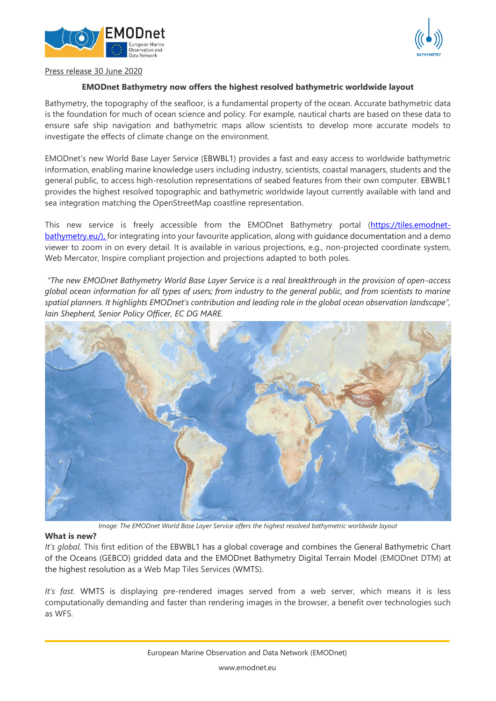



# Press release 30 June 2020

# **EMODnet Bathymetry now offers the highest resolved bathymetric worldwide layout**

Bathymetry, the topography of the seafloor, is a fundamental property of the ocean. Accurate bathymetric data is the foundation for much of ocean science and policy. For example, nautical charts are based on these data to ensure safe ship navigation and bathymetric maps allow scientists to develop more accurate models to investigate the effects of climate change on the environment.

EMODnet's new World Base Layer Service (EBWBL1) provides a fast and easy access to worldwide bathymetric information, enabling marine knowledge users including industry, scientists, coastal managers, students and the general public, to access high-resolution representations of seabed features from their own computer. EBWBL1 provides the highest resolved topographic and bathymetric worldwide layout currently available with land and sea integration matching the OpenStreetMap coastline representation.

This new service is freely accessible from the EMODnet Bathymetry portal [\(https://tiles.emodnet](https://tiles.emodnet-bathymetry.eu/)[bathymetry.eu/\)](https://tiles.emodnet-bathymetry.eu/), for integrating into your favourite application, along with guidance documentation and a demo viewer to zoom in on every detail. It is available in various projections, e.g., non-projected coordinate system, Web Mercator, Inspire compliant projection and projections adapted to both poles.

*"The new EMODnet Bathymetry World Base Layer Service is a real breakthrough in the provision of open-access global ocean information for all types of users; from industry to the general public, and from scientists to marine spatial planners. It highlights EMODnet's contribution and leading role in the global ocean observation landscape", Iain Shepherd, Senior Policy Officer, EC DG MARE.*



*Image: The EMODnet World Base Layer Service offers the highest resolved bathymetric worldwide layout*

#### **What is new?**

*It's global.* This first edition of the EBWBL1 has a global coverage and combines the General Bathymetric Chart of the Oceans (GEBCO) gridded data and the EMODnet Bathymetry Digital Terrain Model (EMODnet DTM) at the highest resolution as a Web Map Tiles Services (WMTS).

*It's fast.* WMTS is displaying pre-rendered images served from a web server, which means it is less computationally demanding and faster than rendering images in the browser, a benefit over technologies such as WFS.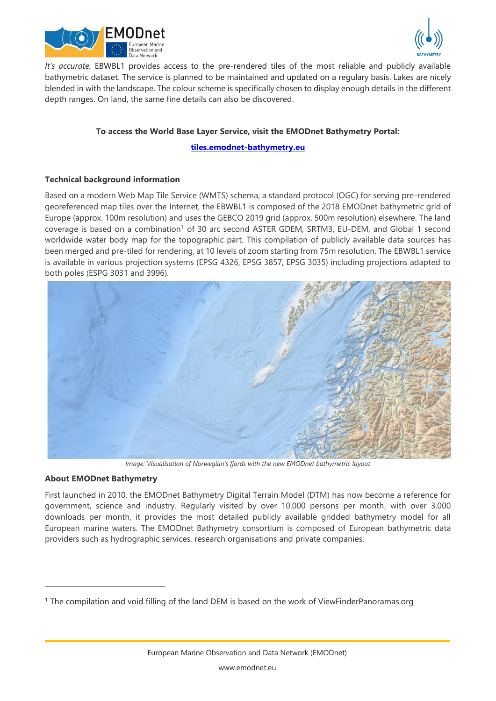



*It's accurate.* EBWBL1 provides access to the pre-rendered tiles of the most reliable and publicly available bathymetric dataset. The service is planned to be maintained and updated on a regulary basis. Lakes are nicely blended in with the landscape. The colour scheme is specifically chosen to display enough details in the different depth ranges. On land, the same fine details can also be discovered.

# **To access the World Base Layer Service, visit the EMODnet Bathymetry Portal:**

**[tiles.emodnet-bathymetry.eu](https://tiles.emodnet-bathymetry.eu/)**

# **Technical background information**

Based on a modern Web Map Tile Service (WMTS) schema, a standard protocol (OGC) for serving pre-rendered georeferenced map tiles over the Internet, the EBWBL1 is composed of the 2018 EMODnet bathymetric grid of Europe (approx. 100m resolution) and uses the GEBCO 2019 grid (approx. 500m resolution) elsewhere. The land coverage is based on a combination<sup>1</sup> of 30 arc second ASTER GDEM, SRTM3, EU-DEM, and Global 1 second worldwide water body map for the topographic part. This compilation of publicly available data sources has been merged and pre-tiled for rendering, at 10 levels of zoom starting from 75m resolution. The EBWBL1 service is available in various projection systems (EPSG 4326, EPSG 3857, EPSG 3035) including projections adapted to both poles (ESPG 3031 and 3996).



*Image: Visualisation of Norwegian's fjords with the new EMODnet bathymetric layout*

# **About EMODnet Bathymetry**

First launched in 2010, the EMODnet Bathymetry Digital Terrain Model (DTM) has now become a reference for government, science and industry. Regularly visited by over 10.000 persons per month, with over 3.000 downloads per month, it provides the most detailed publicly available gridded bathymetry model for all European marine waters. The EMODnet Bathymetry consortium is composed of European bathymetric data providers such as hydrographic services, research organisations and private companies.

<sup>1</sup> The compilation and void filling of the land DEM is based on the work of ViewFinderPanoramas.org